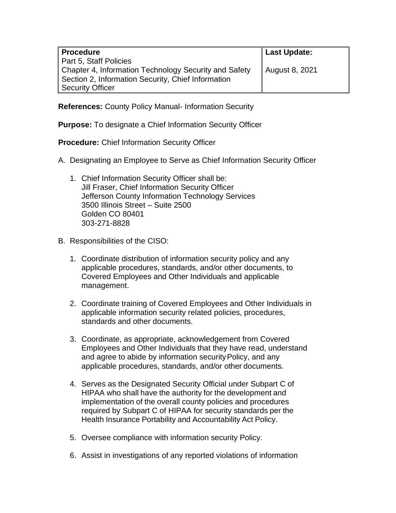| <b>Procedure</b>                                      | Last Update:   |
|-------------------------------------------------------|----------------|
| Part 5, Staff Policies                                |                |
| Chapter 4, Information Technology Security and Safety | August 8, 2021 |
| Section 2, Information Security, Chief Information    |                |
| <b>Security Officer</b>                               |                |

**References:** County Policy Manual- Information Security

**Purpose:** To designate a Chief Information Security Officer

**Procedure:** Chief Information Security Officer

- A. Designating an Employee to Serve as Chief Information Security Officer
	- 1. Chief Information Security Officer shall be: Jill Fraser, Chief Information Security Officer Jefferson County Information Technology Services 3500 Illinois Street – Suite 2500 Golden CO 80401 303-271-8828
- B. Responsibilities of the CISO:
	- 1. Coordinate distribution of information security policy and any applicable procedures, standards, and/or other documents, to Covered Employees and Other Individuals and applicable management.
	- 2. Coordinate training of Covered Employees and Other Individuals in applicable information security related policies, procedures, standards and other documents.
	- 3. Coordinate, as appropriate, acknowledgement from Covered Employees and Other Individuals that they have read, understand and agree to abide by information securityPolicy, and any applicable procedures, standards, and/or other documents.
	- 4. Serves as the Designated Security Official under Subpart C of HIPAA who shall have the authority for the development and implementation of the overall county policies and procedures required by Subpart C of HIPAA for security standards per the Health Insurance Portability and Accountability Act Policy.
	- 5. Oversee compliance with information security Policy.
	- 6. Assist in investigations of any reported violations of information